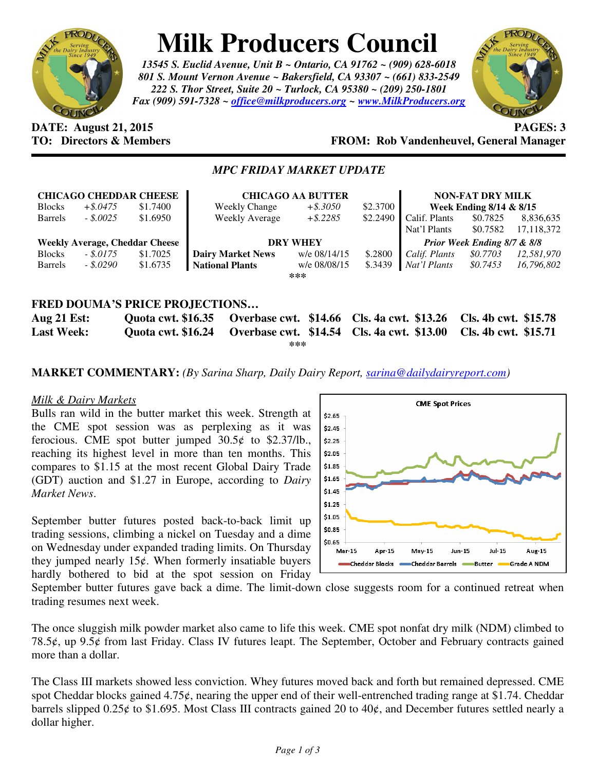

# **Milk Producers Council**

*13545 S. Euclid Avenue, Unit B ~ Ontario, CA 91762 ~ (909) 628-6018 801 S. Mount Vernon Avenue ~ Bakersfield, CA 93307 ~ (661) 833-2549 222 S. Thor Street, Suite 20 ~ Turlock, CA 95380 ~ (209) 250-1801 Fax (909) 591-7328 ~ office@milkproducers.org ~ www.MilkProducers.org*



#### **DATE: August 21, 2015 PAGES: 3 TO: Directors & Members FROM: Rob Vandenheuvel, General Manager**

### *MPC FRIDAY MARKET UPDATE*

| <b>CHICAGO CHEDDAR CHEESE</b>         |             |          | <b>CHICAGO AA BUTTER</b> |              |          | <b>NON-FAT DRY MILK</b>     |          |            |
|---------------------------------------|-------------|----------|--------------------------|--------------|----------|-----------------------------|----------|------------|
| <b>Blocks</b>                         | $+$ \$.0475 | \$1.7400 | <b>Weekly Change</b>     | $+$ \$.3050  | \$2.3700 | Week Ending 8/14 & 8/15     |          |            |
| <b>Barrels</b>                        | $-.50025$   | \$1.6950 | <b>Weekly Average</b>    | $+$ \$.2285  | \$2.2490 | Calif. Plants               | \$0.7825 | 8,836,635  |
|                                       |             |          |                          |              |          | Nat'l Plants                | \$0.7582 | 17,118,372 |
| <b>Weekly Average, Cheddar Cheese</b> |             |          | <b>DRY WHEY</b>          |              |          | Prior Week Ending 8/7 & 8/8 |          |            |
| <b>Blocks</b>                         | $-.5.0175$  | \$1.7025 | <b>Dairy Market News</b> | w/e 08/14/15 | \$.2800  | Calif. Plants               | \$0.7703 | 12,581,970 |
| <b>Barrels</b>                        | - \$.0290   | \$1.6735 | <b>National Plants</b>   | w/e 08/08/15 | \$.3439  | Nat'l Plants                | \$0.7453 | 16,796,802 |
| ***                                   |             |          |                          |              |          |                             |          |            |
|                                       |             |          |                          |              |          |                             |          |            |
| <b>FRED DOUMA'S PRICE PROJECTIONS</b> |             |          |                          |              |          |                             |          |            |

**Aug 21 Est: Quota cwt. \$16.35 Overbase cwt. \$14.66 Cls. 4a cwt. \$13.26 Cls. 4b cwt. \$15.78 Last Week: Quota cwt. \$16.24 Overbase cwt. \$14.54 Cls. 4a cwt. \$13.00 Cls. 4b cwt. \$15.71 \*\*\*** 

**MARKET COMMENTARY:** *(By Sarina Sharp, Daily Dairy Report, sarina@dailydairyreport.com)* 

## *Milk & Dairy Markets*

Bulls ran wild in the butter market this week. Strength at the CME spot session was as perplexing as it was ferocious. CME spot butter jumped  $30.5¢$  to \$2.37/lb., reaching its highest level in more than ten months. This compares to \$1.15 at the most recent Global Dairy Trade (GDT) auction and \$1.27 in Europe, according to *Dairy Market News*.

September butter futures posted back-to-back limit up trading sessions, climbing a nickel on Tuesday and a dime on Wednesday under expanded trading limits. On Thursday they jumped nearly  $15¢$ . When formerly insatiable buyers hardly bothered to bid at the spot session on Friday



September butter futures gave back a dime. The limit-down close suggests room for a continued retreat when trading resumes next week.

The once sluggish milk powder market also came to life this week. CME spot nonfat dry milk (NDM) climbed to 78.5ȼ, up 9.5ȼ from last Friday. Class IV futures leapt. The September, October and February contracts gained more than a dollar.

The Class III markets showed less conviction. Whey futures moved back and forth but remained depressed. CME spot Cheddar blocks gained  $4.75\ell$ , nearing the upper end of their well-entrenched trading range at \$1.74. Cheddar barrels slipped  $0.25¢$  to \$1.695. Most Class III contracts gained 20 to 40¢, and December futures settled nearly a dollar higher.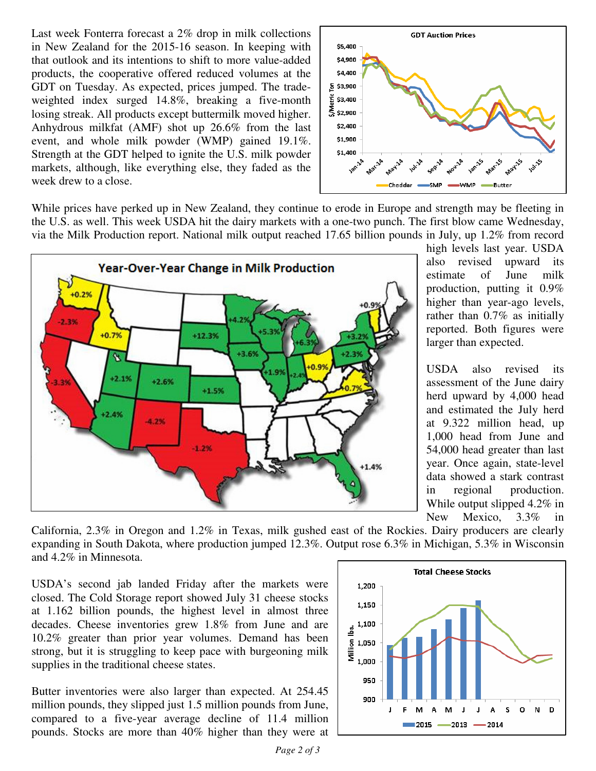Last week Fonterra forecast a 2% drop in milk collections in New Zealand for the 2015-16 season. In keeping with that outlook and its intentions to shift to more value-added products, the cooperative offered reduced volumes at the GDT on Tuesday. As expected, prices jumped. The tradeweighted index surged 14.8%, breaking a five-month losing streak. All products except buttermilk moved higher. Anhydrous milkfat (AMF) shot up 26.6% from the last event, and whole milk powder (WMP) gained 19.1%. Strength at the GDT helped to ignite the U.S. milk powder markets, although, like everything else, they faded as the week drew to a close.



While prices have perked up in New Zealand, they continue to erode in Europe and strength may be fleeting in the U.S. as well. This week USDA hit the dairy markets with a one-two punch. The first blow came Wednesday, via the Milk Production report. National milk output reached 17.65 billion pounds in July, up 1.2% from record



high levels last year. USDA also revised upward its estimate of June milk production, putting it 0.9% higher than year-ago levels, rather than 0.7% as initially reported. Both figures were larger than expected.

USDA also revised its assessment of the June dairy herd upward by 4,000 head and estimated the July herd at 9.322 million head, up 1,000 head from June and 54,000 head greater than last year. Once again, state-level data showed a stark contrast in regional production. While output slipped 4.2% in New Mexico, 3.3% in

California, 2.3% in Oregon and 1.2% in Texas, milk gushed east of the Rockies. Dairy producers are clearly expanding in South Dakota, where production jumped 12.3%. Output rose 6.3% in Michigan, 5.3% in Wisconsin and 4.2% in Minnesota.

USDA's second jab landed Friday after the markets were closed. The Cold Storage report showed July 31 cheese stocks at 1.162 billion pounds, the highest level in almost three decades. Cheese inventories grew 1.8% from June and are 10.2% greater than prior year volumes. Demand has been strong, but it is struggling to keep pace with burgeoning milk supplies in the traditional cheese states.

Butter inventories were also larger than expected. At 254.45 million pounds, they slipped just 1.5 million pounds from June, compared to a five-year average decline of 11.4 million pounds. Stocks are more than 40% higher than they were at